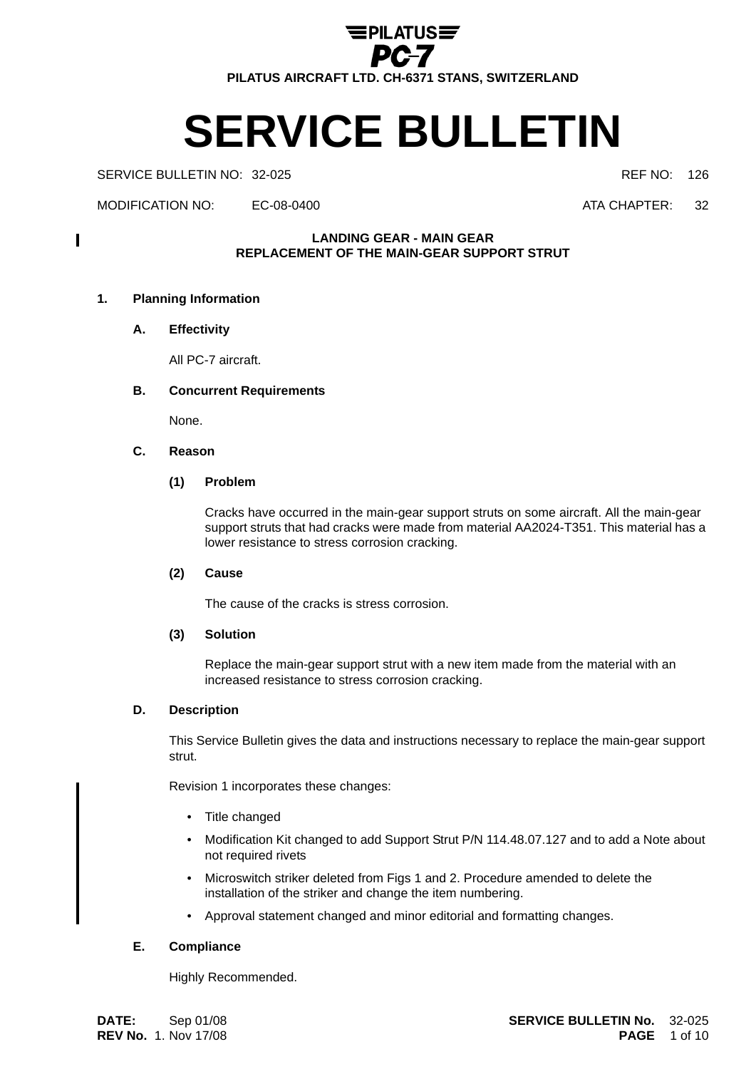

# **SERVICE BULLETIN**

SERVICE BULLETIN NO: 32-025 **REF NO: 126** REF NO: 126

MODIFICATION NO: LEC-08-0400 LEC-08-0400 ATA CHAPTER: 32

#### **LANDING GEAR - MAIN GEAR REPLACEMENT OF THE MAIN-GEAR SUPPORT STRUT**

#### **1. Planning Information**

**A. Effectivity**

All PC-7 aircraft.

### **B. Concurrent Requirements**

None.

### **C. Reason**

### **(1) Problem**

Cracks have occurred in the main-gear support struts on some aircraft. All the main-gear support struts that had cracks were made from material AA2024-T351. This material has a lower resistance to stress corrosion cracking.

#### **(2) Cause**

The cause of the cracks is stress corrosion.

#### **(3) Solution**

Replace the main-gear support strut with a new item made from the material with an increased resistance to stress corrosion cracking.

# **D. Description**

This Service Bulletin gives the data and instructions necessary to replace the main-gear support strut.

Revision 1 incorporates these changes:

- Title changed
- Modification Kit changed to add Support Strut P/N 114.48.07.127 and to add a Note about not required rivets
- Microswitch striker deleted from Figs 1 and 2. Procedure amended to delete the installation of the striker and change the item numbering.
- Approval statement changed and minor editorial and formatting changes.

# **E. Compliance**

Highly Recommended.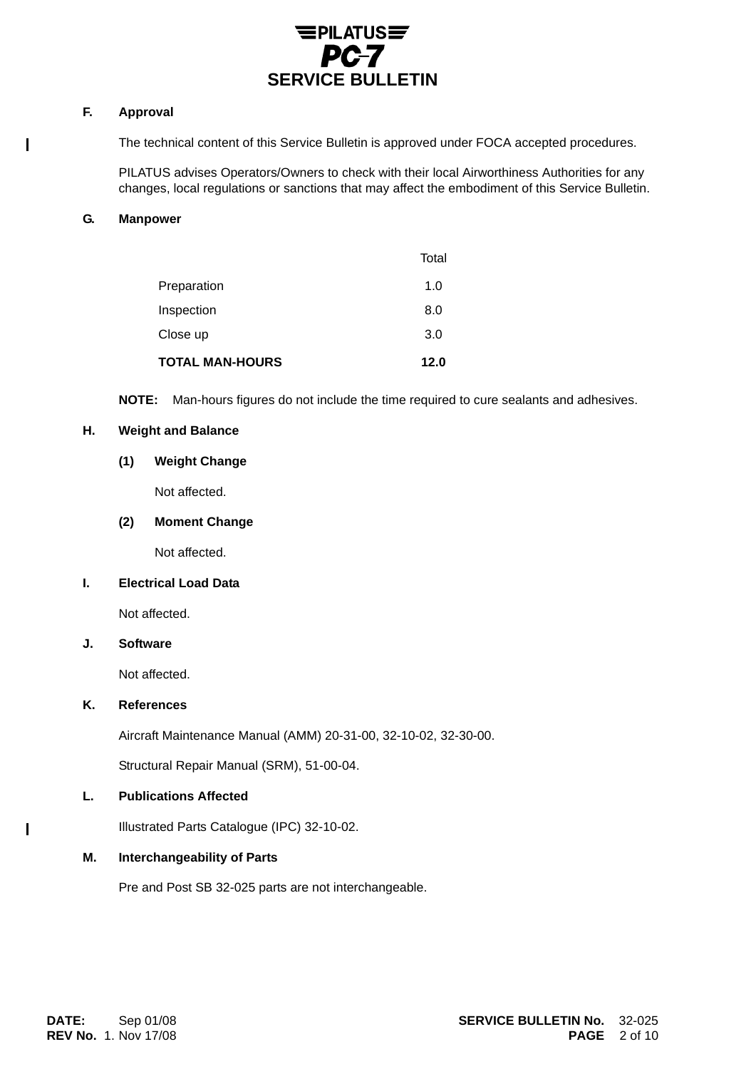

#### **F. Approval**

 $\blacksquare$ 

The technical content of this Service Bulletin is approved under FOCA accepted procedures.

PILATUS advises Operators/Owners to check with their local Airworthiness Authorities for any changes, local regulations or sanctions that may affect the embodiment of this Service Bulletin.

#### **G. Manpower**

| TOTAL MAN-HOURS | 12.0  |
|-----------------|-------|
| Close up        | 3.0   |
| Inspection      | 8.0   |
| Preparation     | 1.0   |
|                 | Total |

**NOTE:** Man-hours figures do not include the time required to cure sealants and adhesives.

#### **H. Weight and Balance**

#### **(1) Weight Change**

Not affected.

#### **(2) Moment Change**

Not affected.

#### **I. Electrical Load Data**

Not affected.

#### **J. Software**

Not affected.

#### **K. References**

Aircraft Maintenance Manual (AMM) 20-31-00, 32-10-02, 32-30-00.

Structural Repair Manual (SRM), 51-00-04.

#### **L. Publications Affected**

Illustrated Parts Catalogue (IPC) 32-10-02.

#### **M. Interchangeability of Parts**

Pre and Post SB 32-025 parts are not interchangeable.

Ī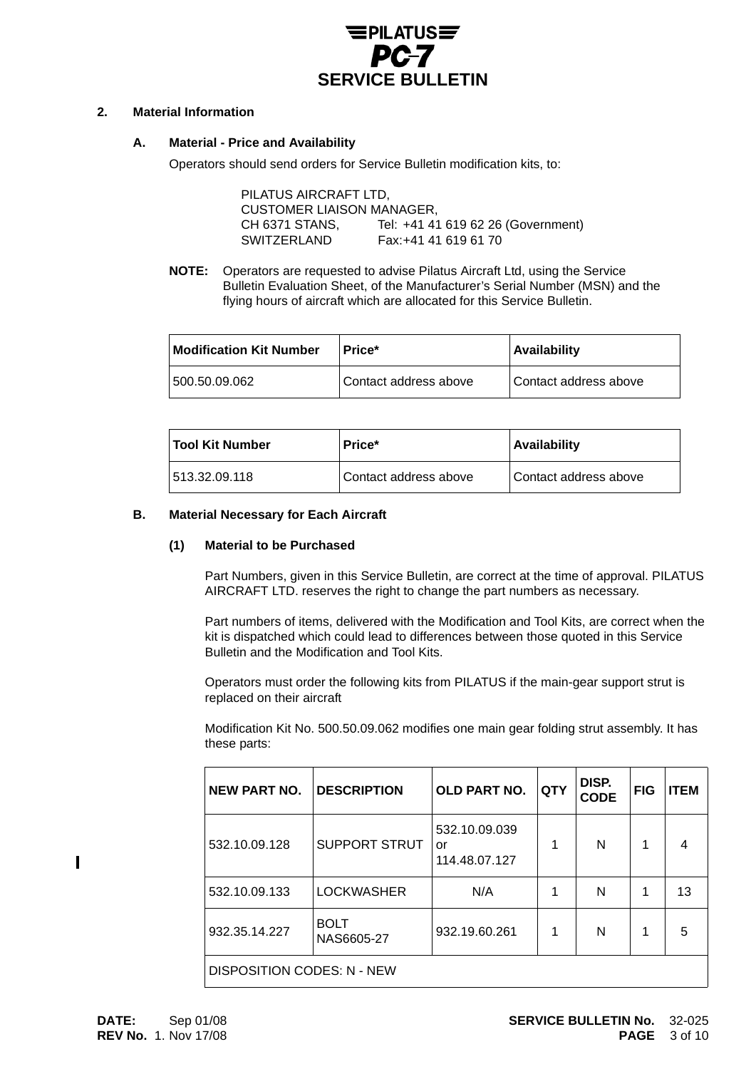

#### **2. Material Information**

#### **A. Material - Price and Availability**

Operators should send orders for Service Bulletin modification kits, to:

PILATUS AIRCRAFT LTD, CUSTOMER LIAISON MANAGER, CH 6371 STANS, Tel: +41 41 619 62 26 (Government) SWITZERLAND Fax:+41 41 619 61 70

**NOTE:** Operators are requested to advise Pilatus Aircraft Ltd, using the Service Bulletin Evaluation Sheet, of the Manufacturer's Serial Number (MSN) and the flying hours of aircraft which are allocated for this Service Bulletin.

| <b>Modification Kit Number</b> | Price*                | <b>Availability</b>   |
|--------------------------------|-----------------------|-----------------------|
| 1500.50.09.062                 | Contact address above | Contact address above |

| l Tool Kit Number | Price*                | <b>Availability</b>   |
|-------------------|-----------------------|-----------------------|
| 513.32.09.118     | Contact address above | Contact address above |

#### **B. Material Necessary for Each Aircraft**

#### **(1) Material to be Purchased**

Part Numbers, given in this Service Bulletin, are correct at the time of approval. PILATUS AIRCRAFT LTD. reserves the right to change the part numbers as necessary.

Part numbers of items, delivered with the Modification and Tool Kits, are correct when the kit is dispatched which could lead to differences between those quoted in this Service Bulletin and the Modification and Tool Kits.

Operators must order the following kits from PILATUS if the main-gear support strut is replaced on their aircraft

Modification Kit No. 500.50.09.062 modifies one main gear folding strut assembly. It has these parts:

| NEW PART NO.                      | <b>DESCRIPTION</b>        | OLD PART NO.                         | <b>QTY</b> | DISP.<br><b>CODE</b> | <b>FIG</b> | <b>ITEM</b> |
|-----------------------------------|---------------------------|--------------------------------------|------------|----------------------|------------|-------------|
| 532.10.09.128                     | <b>SUPPORT STRUT</b>      | 532.10.09.039<br>or<br>114.48.07.127 | 1          | N                    | 1          |             |
| 532.10.09.133                     | <b>LOCKWASHER</b>         | N/A                                  |            | N                    |            | 13          |
| 932.35.14.227                     | <b>BOLT</b><br>NAS6605-27 | 932.19.60.261                        | 1          | N                    |            | 5           |
| <b>DISPOSITION CODES: N - NEW</b> |                           |                                      |            |                      |            |             |

ľ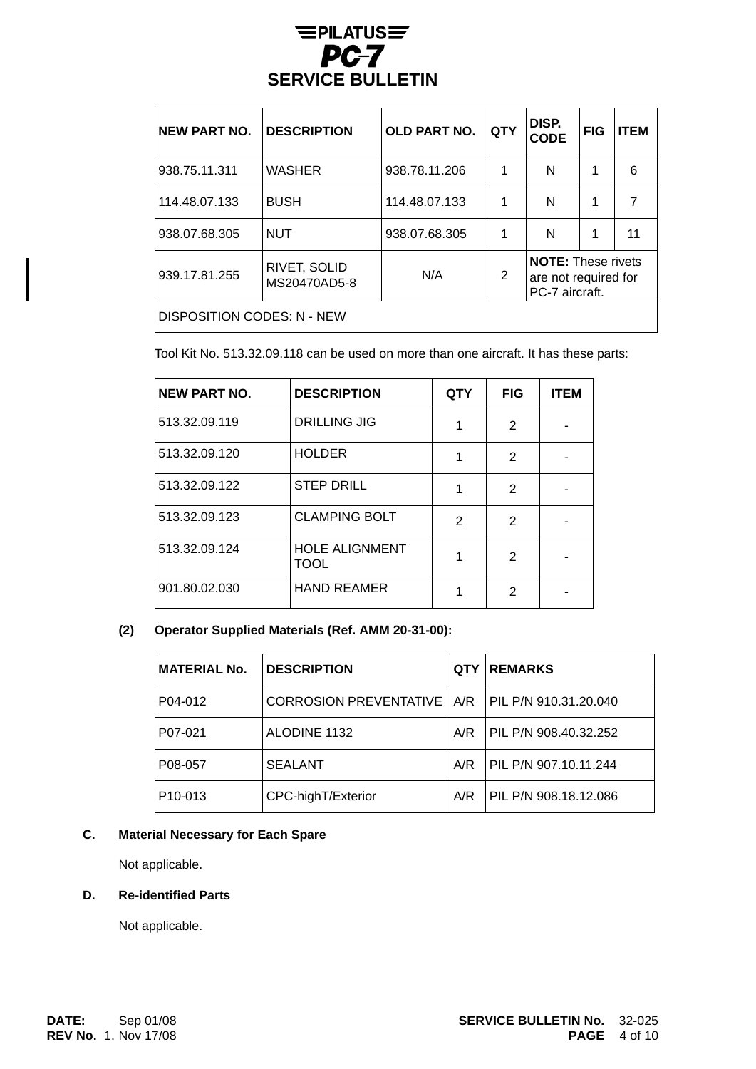

| NEW PART NO.                                  | <b>DESCRIPTION</b> | <b>OLD PART NO.</b> | <b>QTY</b> | DISP.<br><b>CODE</b>                                                | <b>FIG</b> | <b>ITEM</b> |
|-----------------------------------------------|--------------------|---------------------|------------|---------------------------------------------------------------------|------------|-------------|
| 938.75.11.311                                 | <b>WASHER</b>      | 938.78.11.206       | 1          | N                                                                   |            | 6           |
| 114.48.07.133                                 | <b>BUSH</b>        | 114.48.07.133       | 1          | N                                                                   |            |             |
| 938.07.68.305                                 | <b>NUT</b>         | 938.07.68.305       | 1          | N                                                                   |            | 11          |
| RIVET, SOLID<br>939.17.81.255<br>MS20470AD5-8 |                    | N/A                 | 2          | <b>NOTE:</b> These rivets<br>are not required for<br>PC-7 aircraft. |            |             |
| <b>DISPOSITION CODES: N - NEW</b>             |                    |                     |            |                                                                     |            |             |

Tool Kit No. 513.32.09.118 can be used on more than one aircraft. It has these parts:

| <b>NEW PART NO.</b> | <b>DESCRIPTION</b>            | <b>QTY</b> | <b>FIG</b>    | <b>ITEM</b> |
|---------------------|-------------------------------|------------|---------------|-------------|
| 513.32.09.119       | <b>DRILLING JIG</b>           |            | 2             |             |
| 513.32.09.120       | <b>HOLDER</b>                 |            | $\mathcal{P}$ |             |
| 513.32.09.122       | <b>STEP DRILL</b>             |            | 2             |             |
| 513.32.09.123       | <b>CLAMPING BOLT</b>          | 2          | 2             |             |
| 513.32.09.124       | <b>HOLE ALIGNMENT</b><br>TOOL |            | 2             |             |
| 901.80.02.030       | <b>HAND REAMER</b>            |            | 2             |             |

#### **(2) Operator Supplied Materials (Ref. AMM 20-31-00):**

| <b>MATERIAL No.</b>  | <b>DESCRIPTION</b>            | QTY. | <b>REMARKS</b>        |
|----------------------|-------------------------------|------|-----------------------|
| P04-012              | <b>CORROSION PREVENTATIVE</b> | A/R  | PIL P/N 910.31.20.040 |
| P07-021              | <b>ALODINE 1132</b>           | A/R  | PIL P/N 908.40.32.252 |
| P08-057              | <b>SEALANT</b>                | A/R  | PIL P/N 907.10.11.244 |
| P <sub>10</sub> -013 | CPC-highT/Exterior            | A/R  | PIL P/N 908.18.12.086 |

### **C. Material Necessary for Each Spare**

Not applicable.

#### **D. Re-identified Parts**

Not applicable.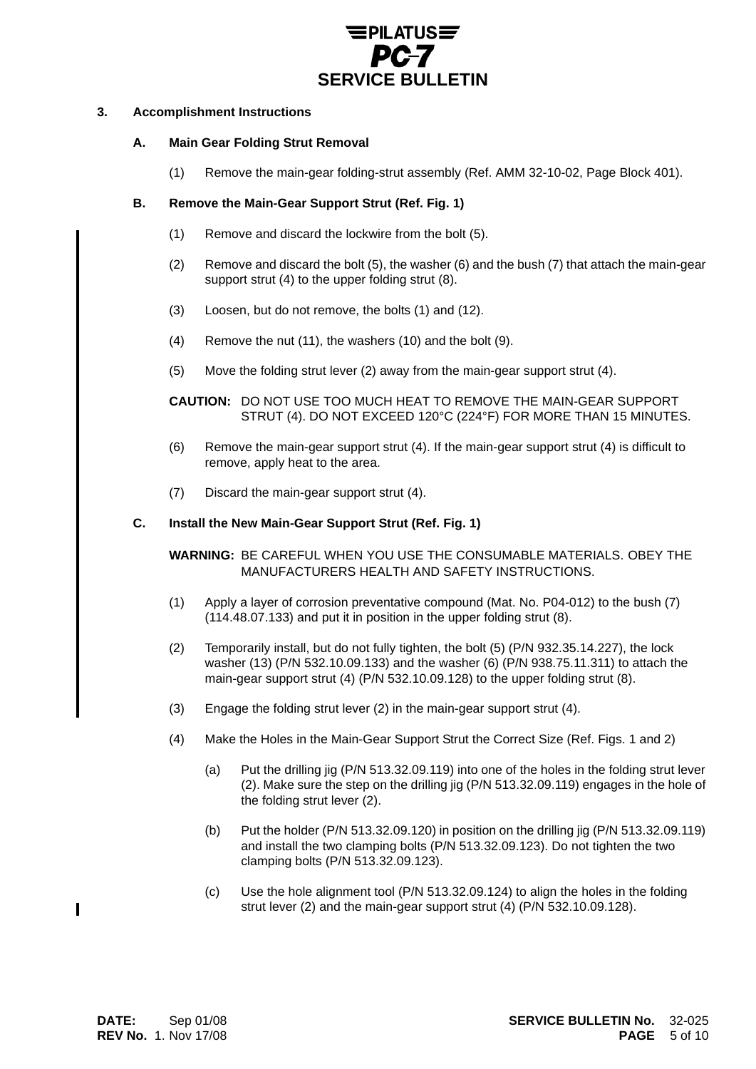

#### **3. Accomplishment Instructions**

#### **A. Main Gear Folding Strut Removal**

(1) Remove the main-gear folding-strut assembly (Ref. AMM 32-10-02, Page Block 401).

#### **B. Remove the Main-Gear Support Strut (Ref. Fig. 1)**

- (1) Remove and discard the lockwire from the bolt (5).
- (2) Remove and discard the bolt (5), the washer (6) and the bush (7) that attach the main-gear support strut (4) to the upper folding strut (8).
- (3) Loosen, but do not remove, the bolts (1) and (12).
- (4) Remove the nut (11), the washers (10) and the bolt (9).
- (5) Move the folding strut lever (2) away from the main-gear support strut (4).

**CAUTION:** DO NOT USE TOO MUCH HEAT TO REMOVE THE MAIN-GEAR SUPPORT STRUT (4). DO NOT EXCEED 120°C (224°F) FOR MORE THAN 15 MINUTES.

- (6) Remove the main-gear support strut (4). If the main-gear support strut (4) is difficult to remove, apply heat to the area.
- (7) Discard the main-gear support strut (4).

#### **C. Install the New Main-Gear Support Strut (Ref. Fig. 1)**

**WARNING:** BE CAREFUL WHEN YOU USE THE CONSUMABLE MATERIALS. OBEY THE MANUFACTURERS HEALTH AND SAFETY INSTRUCTIONS.

- (1) Apply a layer of corrosion preventative compound (Mat. No. P04-012) to the bush (7) (114.48.07.133) and put it in position in the upper folding strut (8).
- (2) Temporarily install, but do not fully tighten, the bolt (5) (P/N 932.35.14.227), the lock washer (13) (P/N 532.10.09.133) and the washer (6) (P/N 938.75.11.311) to attach the main-gear support strut (4) (P/N 532.10.09.128) to the upper folding strut (8).
- (3) Engage the folding strut lever (2) in the main-gear support strut (4).
- (4) Make the Holes in the Main-Gear Support Strut the Correct Size (Ref. Figs. 1 and 2)
	- (a) Put the drilling jig (P/N 513.32.09.119) into one of the holes in the folding strut lever (2). Make sure the step on the drilling jig (P/N 513.32.09.119) engages in the hole of the folding strut lever (2).
	- (b) Put the holder (P/N 513.32.09.120) in position on the drilling jig (P/N 513.32.09.119) and install the two clamping bolts (P/N 513.32.09.123). Do not tighten the two clamping bolts (P/N 513.32.09.123).
	- (c) Use the hole alignment tool (P/N 513.32.09.124) to align the holes in the folding strut lever (2) and the main-gear support strut (4) (P/N 532.10.09.128).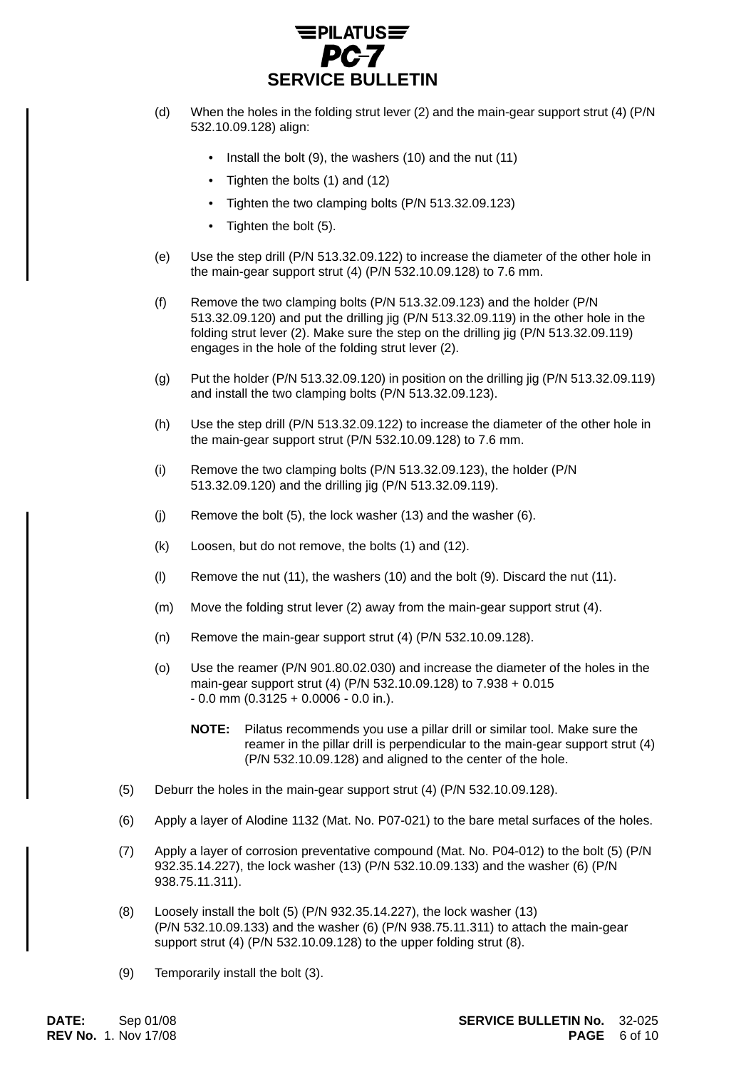

- (d) When the holes in the folding strut lever (2) and the main-gear support strut (4) (P/N 532.10.09.128) align:
	- Install the bolt (9), the washers (10) and the nut (11)
	- Tighten the bolts (1) and (12)
	- Tighten the two clamping bolts (P/N 513.32.09.123)
	- Tighten the bolt (5).
- (e) Use the step drill (P/N 513.32.09.122) to increase the diameter of the other hole in the main-gear support strut (4) (P/N 532.10.09.128) to 7.6 mm.
- (f) Remove the two clamping bolts (P/N 513.32.09.123) and the holder (P/N 513.32.09.120) and put the drilling jig (P/N 513.32.09.119) in the other hole in the folding strut lever (2). Make sure the step on the drilling jig (P/N 513.32.09.119) engages in the hole of the folding strut lever (2).
- (g) Put the holder (P/N 513.32.09.120) in position on the drilling jig (P/N 513.32.09.119) and install the two clamping bolts (P/N 513.32.09.123).
- (h) Use the step drill (P/N 513.32.09.122) to increase the diameter of the other hole in the main-gear support strut (P/N 532.10.09.128) to 7.6 mm.
- (i) Remove the two clamping bolts (P/N 513.32.09.123), the holder (P/N 513.32.09.120) and the drilling jig (P/N 513.32.09.119).
- (j) Remove the bolt (5), the lock washer (13) and the washer (6).
- (k) Loosen, but do not remove, the bolts (1) and (12).
- (l) Remove the nut (11), the washers (10) and the bolt (9). Discard the nut (11).
- (m) Move the folding strut lever (2) away from the main-gear support strut (4).
- (n) Remove the main-gear support strut (4) (P/N 532.10.09.128).
- (o) Use the reamer (P/N 901.80.02.030) and increase the diameter of the holes in the main-gear support strut (4) (P/N 532.10.09.128) to 7.938 + 0.015  $-0.0$  mm (0.3125 + 0.0006 - 0.0 in.).
	- **NOTE:** Pilatus recommends you use a pillar drill or similar tool. Make sure the reamer in the pillar drill is perpendicular to the main-gear support strut (4) (P/N 532.10.09.128) and aligned to the center of the hole.
- (5) Deburr the holes in the main-gear support strut (4) (P/N 532.10.09.128).
- (6) Apply a layer of Alodine 1132 (Mat. No. P07-021) to the bare metal surfaces of the holes.
- (7) Apply a layer of corrosion preventative compound (Mat. No. P04-012) to the bolt (5) (P/N 932.35.14.227), the lock washer (13) (P/N 532.10.09.133) and the washer (6) (P/N 938.75.11.311).
- (8) Loosely install the bolt (5) (P/N 932.35.14.227), the lock washer (13) (P/N 532.10.09.133) and the washer (6) (P/N 938.75.11.311) to attach the main-gear support strut (4) (P/N 532.10.09.128) to the upper folding strut (8).
- (9) Temporarily install the bolt (3).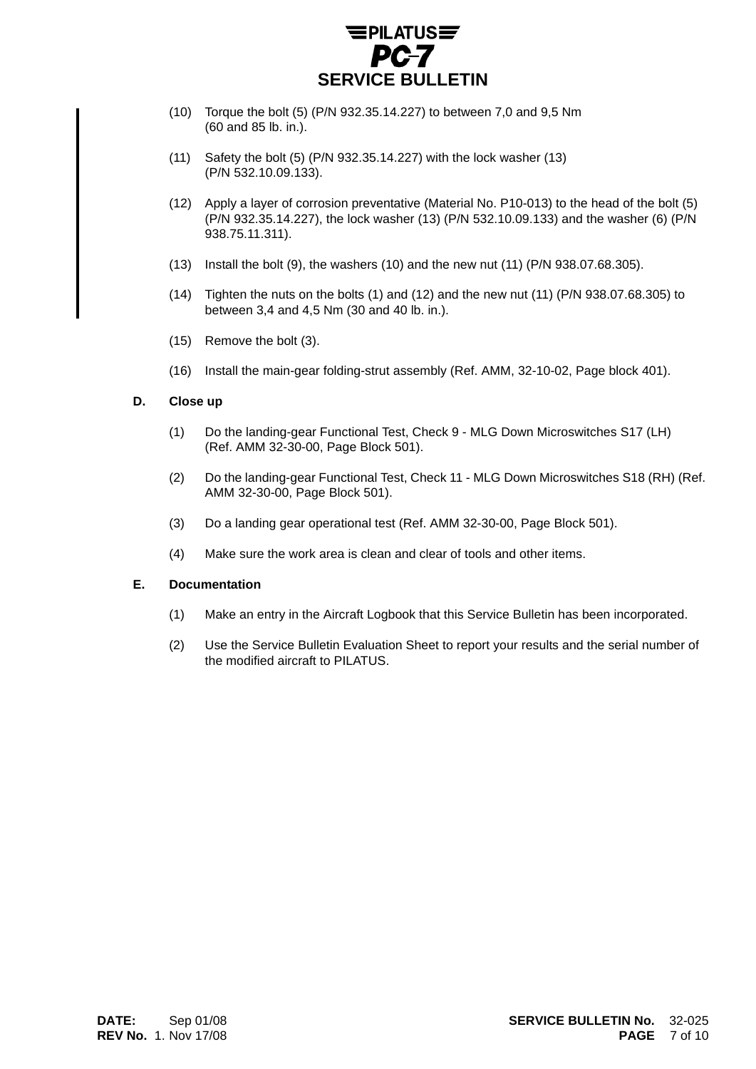

- (10) Torque the bolt (5) (P/N 932.35.14.227) to between 7,0 and 9,5 Nm (60 and 85 lb. in.).
- (11) Safety the bolt (5) (P/N 932.35.14.227) with the lock washer (13) (P/N 532.10.09.133).
- (12) Apply a layer of corrosion preventative (Material No. P10-013) to the head of the bolt (5) (P/N 932.35.14.227), the lock washer (13) (P/N 532.10.09.133) and the washer (6) (P/N 938.75.11.311).
- (13) Install the bolt (9), the washers (10) and the new nut (11) (P/N 938.07.68.305).
- (14) Tighten the nuts on the bolts (1) and (12) and the new nut (11) (P/N 938.07.68.305) to between 3,4 and 4,5 Nm (30 and 40 lb. in.).
- (15) Remove the bolt (3).
- (16) Install the main-gear folding-strut assembly (Ref. AMM, 32-10-02, Page block 401).

#### **D. Close up**

- (1) Do the landing-gear Functional Test, Check 9 MLG Down Microswitches S17 (LH) (Ref. AMM 32-30-00, Page Block 501).
- (2) Do the landing-gear Functional Test, Check 11 MLG Down Microswitches S18 (RH) (Ref. AMM 32-30-00, Page Block 501).
- (3) Do a landing gear operational test (Ref. AMM 32-30-00, Page Block 501).
- (4) Make sure the work area is clean and clear of tools and other items.

#### **E. Documentation**

- (1) Make an entry in the Aircraft Logbook that this Service Bulletin has been incorporated.
- (2) Use the Service Bulletin Evaluation Sheet to report your results and the serial number of the modified aircraft to PILATUS.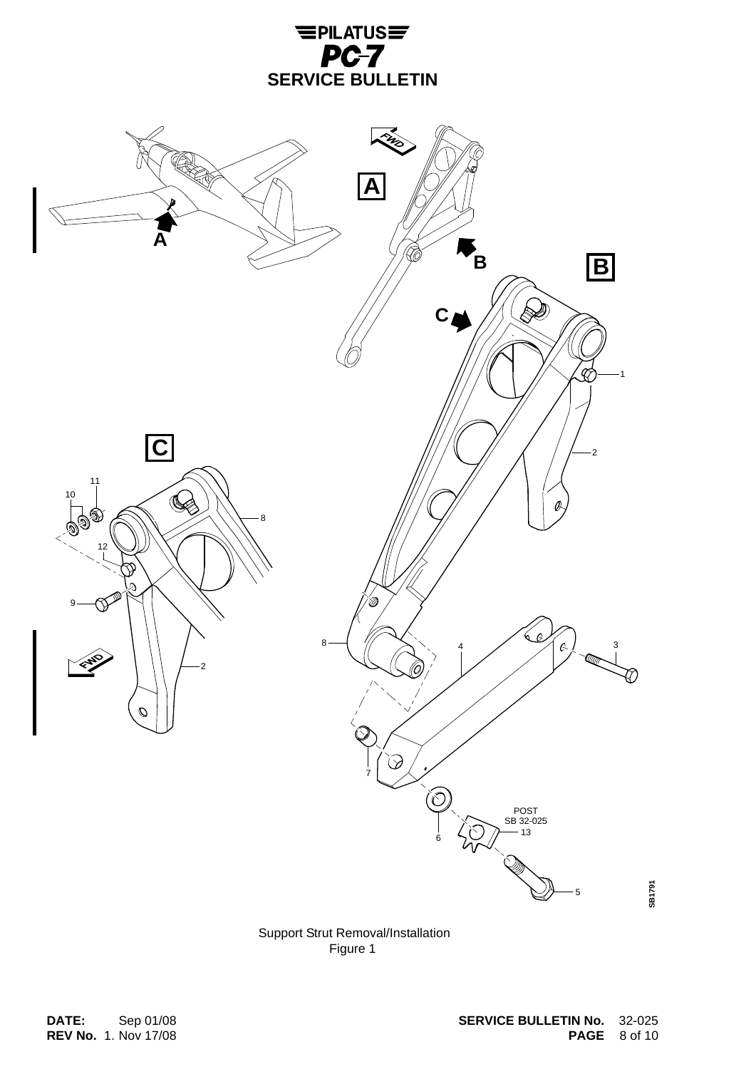

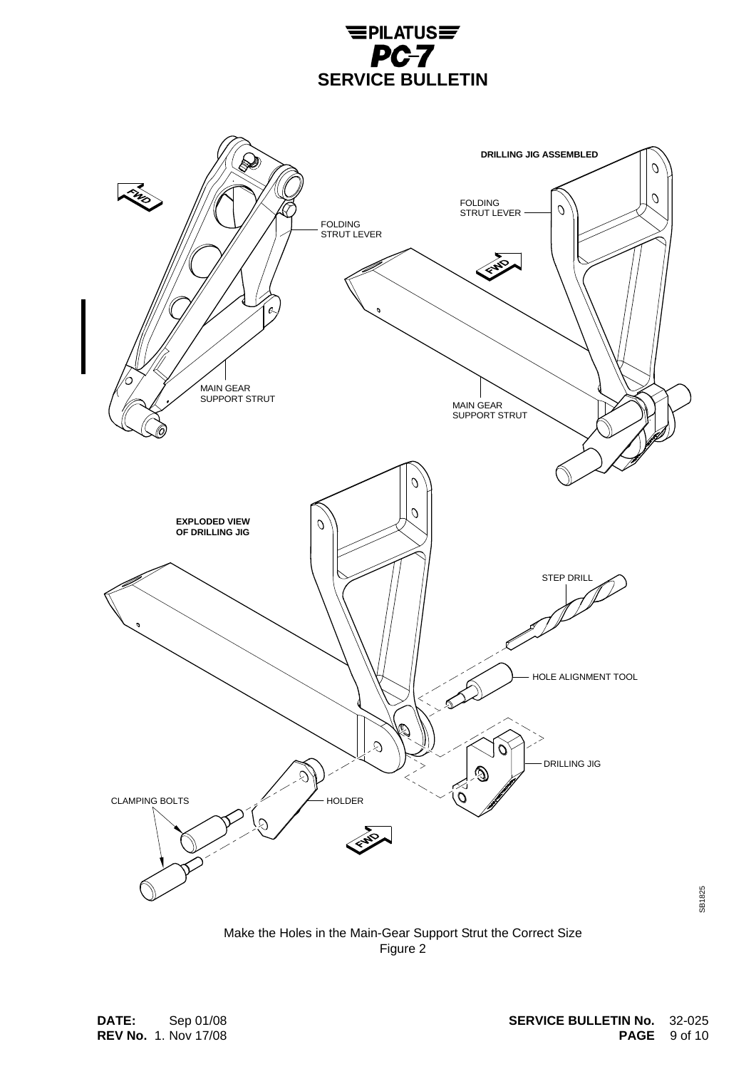



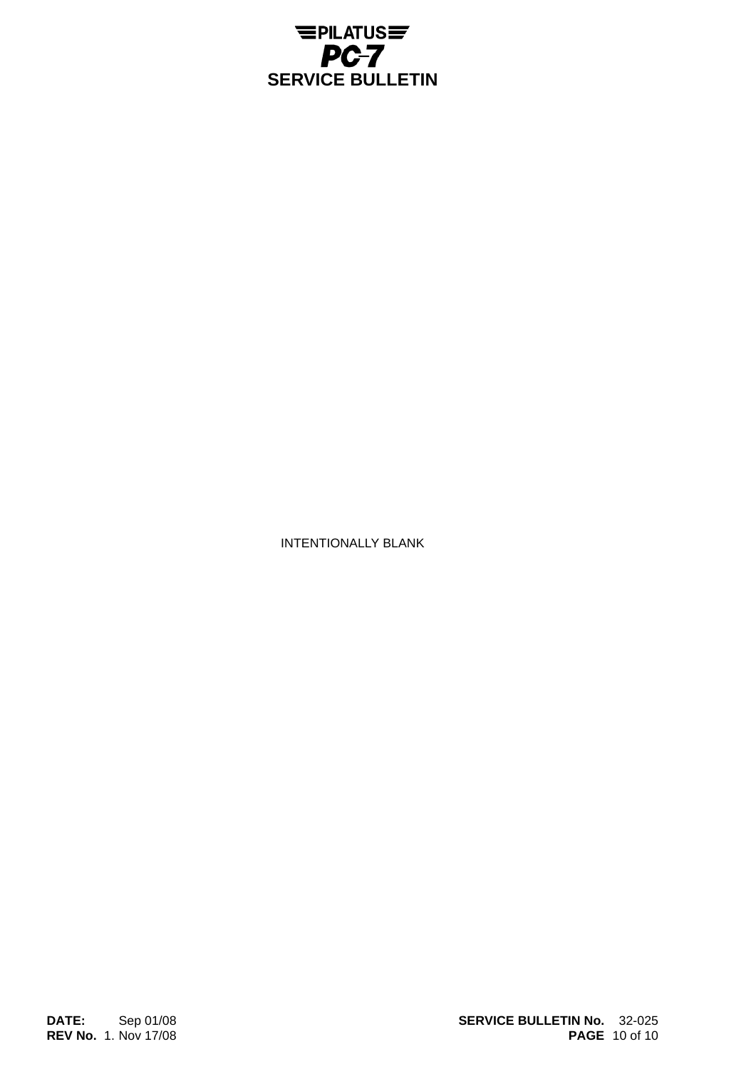

INTENTIONALLY BLANK